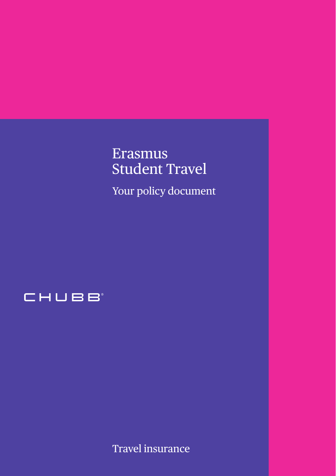# Erasmus Student Travel

Your policy document



Travel insurance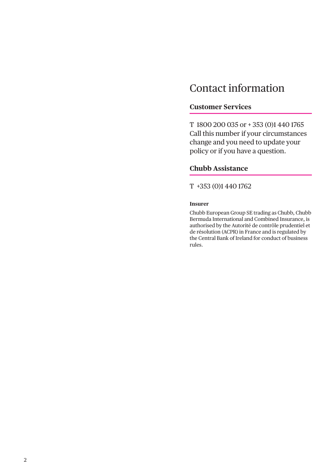## Contact information

#### **Customer Services**

T 1800 200 035 or + 353 (0)1 440 1765 Call this number if your circumstances change and you need to update your policy or if you have a question.

## **Chubb Assistance**

#### T +353 (0)1 440 1762

#### **Insurer**

Chubb European Group SE trading as Chubb, Chubb Bermuda International and Combined Insurance, is authorised by the Autorité de contrôle prudentiel et de résolution (ACPR) in France and is regulated by the Central Bank of Ireland for conduct of business rules.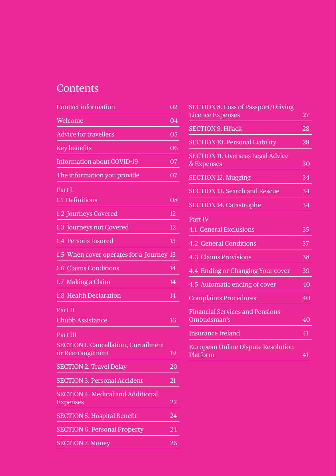## **Contents**

| Welcome<br><b>Advice for travellers</b><br><b>Key benefits</b><br><b>Information about COVID-19</b><br>The information you provide<br>Part I<br>$1.1$ Definitions<br>1.2 Journeys Covered<br>1.3 Journeys not Covered<br>1.4 Persons Insured<br>1.5 When cover operates for a Journey<br>1.6 Claims Conditions<br>1.7 Making a Claim<br>1.8 Health Declaration<br>Part II<br><b>Chubb Assistance</b><br><b>Part III</b><br><b>SECTION 1. Cancellation, Curtailment</b><br>or Rearrangement<br><b>SECTION 2. Travel Delay</b><br><b>SECTION 3. Personal Accident</b><br><b>SECTION 4. Medical and Additional</b><br><b>Expenses</b><br><b>SECTION 5. Hospital Benefit</b><br><b>SECTION 6. Personal Property</b><br><b>SECTION 7. Money</b> | Contact information | 02 |
|--------------------------------------------------------------------------------------------------------------------------------------------------------------------------------------------------------------------------------------------------------------------------------------------------------------------------------------------------------------------------------------------------------------------------------------------------------------------------------------------------------------------------------------------------------------------------------------------------------------------------------------------------------------------------------------------------------------------------------------------|---------------------|----|
|                                                                                                                                                                                                                                                                                                                                                                                                                                                                                                                                                                                                                                                                                                                                            |                     | 04 |
|                                                                                                                                                                                                                                                                                                                                                                                                                                                                                                                                                                                                                                                                                                                                            |                     | 05 |
|                                                                                                                                                                                                                                                                                                                                                                                                                                                                                                                                                                                                                                                                                                                                            |                     | 06 |
|                                                                                                                                                                                                                                                                                                                                                                                                                                                                                                                                                                                                                                                                                                                                            |                     | 07 |
|                                                                                                                                                                                                                                                                                                                                                                                                                                                                                                                                                                                                                                                                                                                                            |                     | 07 |
|                                                                                                                                                                                                                                                                                                                                                                                                                                                                                                                                                                                                                                                                                                                                            |                     |    |
|                                                                                                                                                                                                                                                                                                                                                                                                                                                                                                                                                                                                                                                                                                                                            |                     | 08 |
|                                                                                                                                                                                                                                                                                                                                                                                                                                                                                                                                                                                                                                                                                                                                            |                     | 12 |
|                                                                                                                                                                                                                                                                                                                                                                                                                                                                                                                                                                                                                                                                                                                                            |                     | 12 |
|                                                                                                                                                                                                                                                                                                                                                                                                                                                                                                                                                                                                                                                                                                                                            |                     | 13 |
|                                                                                                                                                                                                                                                                                                                                                                                                                                                                                                                                                                                                                                                                                                                                            |                     | 13 |
|                                                                                                                                                                                                                                                                                                                                                                                                                                                                                                                                                                                                                                                                                                                                            |                     | 14 |
|                                                                                                                                                                                                                                                                                                                                                                                                                                                                                                                                                                                                                                                                                                                                            |                     | 14 |
|                                                                                                                                                                                                                                                                                                                                                                                                                                                                                                                                                                                                                                                                                                                                            |                     | 14 |
|                                                                                                                                                                                                                                                                                                                                                                                                                                                                                                                                                                                                                                                                                                                                            |                     |    |
|                                                                                                                                                                                                                                                                                                                                                                                                                                                                                                                                                                                                                                                                                                                                            |                     | 16 |
|                                                                                                                                                                                                                                                                                                                                                                                                                                                                                                                                                                                                                                                                                                                                            |                     |    |
|                                                                                                                                                                                                                                                                                                                                                                                                                                                                                                                                                                                                                                                                                                                                            |                     |    |
|                                                                                                                                                                                                                                                                                                                                                                                                                                                                                                                                                                                                                                                                                                                                            |                     | 19 |
|                                                                                                                                                                                                                                                                                                                                                                                                                                                                                                                                                                                                                                                                                                                                            |                     | 20 |
|                                                                                                                                                                                                                                                                                                                                                                                                                                                                                                                                                                                                                                                                                                                                            |                     | 21 |
|                                                                                                                                                                                                                                                                                                                                                                                                                                                                                                                                                                                                                                                                                                                                            |                     |    |
|                                                                                                                                                                                                                                                                                                                                                                                                                                                                                                                                                                                                                                                                                                                                            |                     | 22 |
|                                                                                                                                                                                                                                                                                                                                                                                                                                                                                                                                                                                                                                                                                                                                            |                     | 24 |
|                                                                                                                                                                                                                                                                                                                                                                                                                                                                                                                                                                                                                                                                                                                                            |                     | 24 |
|                                                                                                                                                                                                                                                                                                                                                                                                                                                                                                                                                                                                                                                                                                                                            |                     | 26 |

| <b>SECTION 8. Loss of Passport/Driving</b> |    |
|--------------------------------------------|----|
| <b>Licence Expenses</b>                    | 27 |
| <b>SECTION 9. Hijack</b>                   | 28 |
| <b>SECTION 10. Personal Liability</b>      | 28 |
| <b>SECTION 11. Overseas Legal Advice</b>   |    |
| & Expenses                                 | 30 |
| <b>SECTION 12. Mugging</b>                 | 34 |
| <b>SECTION 13. Search and Rescue</b>       | 34 |
| <b>SECTION 14. Catastrophe</b>             | 34 |
| Part IV                                    |    |
| 4.1 General Exclusions                     | 35 |
| 4.2 General Conditions                     | 37 |
| 4.3 Claims Provisions                      | 38 |
| 4.4 Ending or Changing Your cover          | 39 |
| 4.5 Automatic ending of cover              | 40 |
| <b>Complaints Procedures</b>               | 40 |
| <b>Financial Services and Pensions</b>     |    |
| Ombudsman's                                | 40 |
| <b>Insurance Ireland</b>                   | 41 |
| <b>European Online Dispute Resolution</b>  |    |
| Platform                                   | 41 |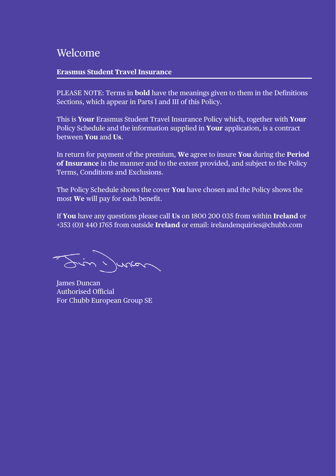## Welcome

#### **Erasmus Student Travel Insurance**

PLEASE NOTE: Terms in **bold** have the meanings given to them in the Definitions Sections, which appear in Parts I and III of this Policy.

This is **Your** Erasmus Student Travel Insurance Policy which, together with **Your** Policy Schedule and the information supplied in **Your** application, is a contract between **You** and **Us**.

In return for payment of the premium, **We** agree to insure **You** during the **Period of Insurance** in the manner and to the extent provided, and subject to the Policy Terms, Conditions and Exclusions.

The Policy Schedule shows the cover **You** have chosen and the Policy shows the most **We** will pay for each benefit.

If **You** have any questions please call **Us** on 1800 200 035 from within **Ireland** or +353 (0)1 440 1765 from outside **Ireland** or email: irelandenquiries@chubb.com

in your

James Duncan Authorised Official For Chubb European Group SE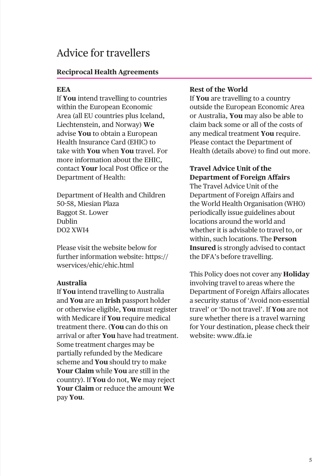## Advice for travellers

## **Reciprocal Health Agreements**

## **EEA**

If **You** intend travelling to countries within the European Economic Area (all EU countries plus Iceland, Liechtenstein, and Norway) **We** advise **You** to obtain a European Health Insurance Card (EHIC) to take with **You** when **You** travel. For more information about the EHIC, contact **Your** local Post Office or the Department of Health:

Department of Health and Children 50-58, Miesian Plaza Baggot St. Lower Dublin DO2 XWI4

Please visit the website below for further information website: https:// wservices/ehic/ehic.html

#### **Australia**

If **You** intend travelling to Australia and **You** are an **Irish** passport holder or otherwise eligible, **You** must register with Medicare if **You** require medical treatment there. (**You** can do this on arrival or after **You** have had treatment. Some treatment charges may be partially refunded by the Medicare scheme and **You** should try to make **Your Claim** while **You** are still in the country). If **You** do not, **We** may reject **Your Claim** or reduce the amount **We** pay **You**.

#### **Rest of the World**

If **You** are travelling to a country outside the European Economic Area or Australia, **You** may also be able to claim back some or all of the costs of any medical treatment **You** require. Please contact the Department of Health (details above) to find out more.

## **Travel Advice Unit of the Department of Foreign Affairs**

The Travel Advice Unit of the Department of Foreign Affairs and the World Health Organisation (WHO) periodically issue guidelines about locations around the world and whether it is advisable to travel to, or within, such locations. The **Person Insured** is strongly advised to contact the DFA's before travelling.

This Policy does not cover any **Holiday** involving travel to areas where the Department of Foreign Affairs allocates a security status of 'Avoid non-essential travel' or 'Do not travel'. If **You** are not sure whether there is a travel warning for Your destination, please check their website: www.dfa.ie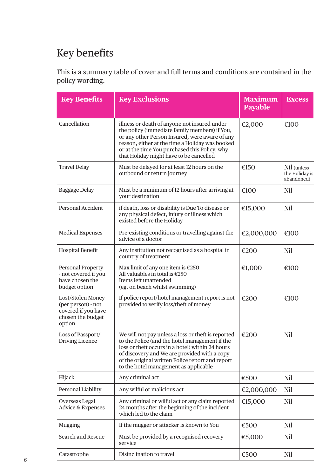## Key benefits

This is a summary table of cover and full terms and conditions are contained in the policy wording.

| <b>Key Benefits</b>                                                                           | <b>Key Exclusions</b>                                                                                                                                                                                                                                                                                 | <b>Maximum</b><br><b>Payable</b> | <b>Excess</b>                               |
|-----------------------------------------------------------------------------------------------|-------------------------------------------------------------------------------------------------------------------------------------------------------------------------------------------------------------------------------------------------------------------------------------------------------|----------------------------------|---------------------------------------------|
| Cancellation                                                                                  | illness or death of anyone not insured under<br>the policy (immediate family members) if You,<br>or any other Person Insured, were aware of any<br>reason, either at the time a Holiday was booked<br>or at the time You purchased this Policy, why<br>that Holiday might have to be cancelled        | €2,000                           | €100                                        |
| <b>Travel Delay</b>                                                                           | Must be delayed for at least 12 hours on the<br>outbound or return journey                                                                                                                                                                                                                            | €150                             | Nil (unless<br>the Holiday is<br>abandoned) |
| Baggage Delay                                                                                 | Must be a minimum of 12 hours after arriving at<br>vour destination                                                                                                                                                                                                                                   | €100                             | Nil                                         |
| Personal Accident                                                                             | if death, loss or disability is Due To disease or<br>any physical defect, injury or illness which<br>existed before the Holiday                                                                                                                                                                       | €15,000                          | Nil                                         |
| <b>Medical Expenses</b>                                                                       | Pre-existing conditions or travelling against the<br>advice of a doctor                                                                                                                                                                                                                               | €2,000,000                       | €100                                        |
| <b>Hospital Benefit</b>                                                                       | Any institution not recognised as a hospital in<br>country of treatment                                                                                                                                                                                                                               | €200                             | Nil                                         |
| Personal Property<br>- not covered if you<br>have chosen the<br>budget option                 | Max limit of any one item is $£250$<br>All valuables in total is $£250$<br>Items left unattended<br>(eg. on beach whilst swimming)                                                                                                                                                                    | €1,000                           | €100                                        |
| Lost/Stolen Money<br>(per person) - not<br>covered if you have<br>chosen the budget<br>option | If police report/hotel management report is not<br>provided to verify loss/theft of money                                                                                                                                                                                                             | €200                             | €100                                        |
| Loss of Passport/<br>Driving Licence                                                          | We will not pay unless a loss or theft is reported<br>to the Police (and the hotel management if the<br>loss or theft occurs in a hotel) within 24 hours<br>of discovery and We are provided with a copy<br>of the original written Police report and report<br>to the hotel management as applicable | €200                             | Nil                                         |
| Hijack                                                                                        | Any criminal act                                                                                                                                                                                                                                                                                      | €500                             | Nil                                         |
| Personal Liability                                                                            | Any wilful or malicious act                                                                                                                                                                                                                                                                           | €2,000,000                       | Nil                                         |
| Overseas Legal<br>Advice & Expenses                                                           | Any criminal or wilful act or any claim reported<br>24 months after the beginning of the incident<br>which led to the claim                                                                                                                                                                           | €15,000                          | Nil                                         |
| Mugging                                                                                       | If the mugger or attacker is known to You                                                                                                                                                                                                                                                             | €500                             | Nil                                         |
| Search and Rescue                                                                             | Must be provided by a recognised recovery<br>service                                                                                                                                                                                                                                                  | €5,000                           | Nil                                         |
| Catastrophe                                                                                   | Disinclination to travel                                                                                                                                                                                                                                                                              | €500                             | Nil                                         |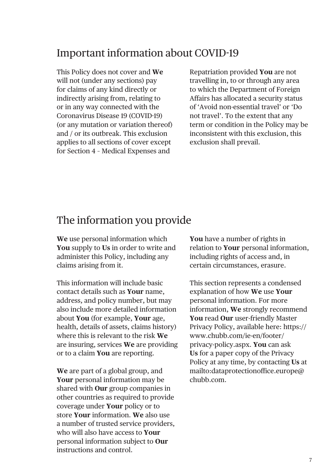## Important information about COVID-19

This Policy does not cover and **We** will not (under any sections) pay for claims of any kind directly or indirectly arising from, relating to or in any way connected with the Coronavirus Disease 19 (COVID-19) (or any mutation or variation thereof) and / or its outbreak. This exclusion applies to all sections of cover except for Section 4 – Medical Expenses and

Repatriation provided **You** are not travelling in, to or through any area to which the Department of Foreign Affairs has allocated a security status of 'Avoid non-essential travel' or 'Do not travel'. To the extent that any term or condition in the Policy may be inconsistent with this exclusion, this exclusion shall prevail.

## The information you provide

**We** use personal information which **You** supply to **Us** in order to write and administer this Policy, including any claims arising from it.

This information will include basic contact details such as **Your** name, address, and policy number, but may also include more detailed information about **You** (for example, **Your** age, health, details of assets, claims history) where this is relevant to the risk **We** are insuring, services **We** are providing or to a claim **You** are reporting.

**We** are part of a global group, and **Your** personal information may be shared with **Our** group companies in other countries as required to provide coverage under **Your** policy or to store **Your** information. **We** also use a number of trusted service providers, who will also have access to **Your** personal information subject to **Our** instructions and control.

**You** have a number of rights in relation to **Your** personal information, including rights of access and, in certain circumstances, erasure.

This section represents a condensed explanation of how **We** use **Your** personal information. For more information, **We** strongly recommend **You** read **Our** user-friendly Master Privacy Policy, available here: [https://](https://www.chubb.com/ie-en/footer/privacy-policy.aspx) [www.chubb.com/ie-en/footer/](https://www.chubb.com/ie-en/footer/privacy-policy.aspx) [privacy-policy.aspx.](https://www.chubb.com/ie-en/footer/privacy-policy.aspx) **You** can ask **Us** for a paper copy of the Privacy Policy at any time, by contacting **Us** at mailto:dataprotectionoffice.europe@ chubb.com.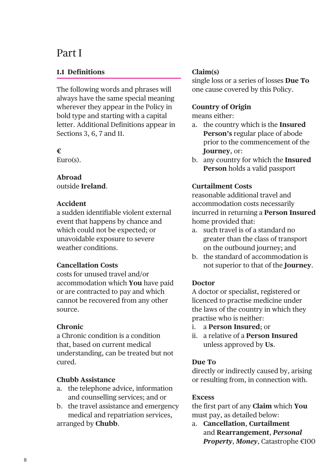## Part I

## **1.1 Definitions**

The following words and phrases will always have the same special meaning wherever they appear in the Policy in bold type and starting with a capital letter. Additional Definitions appear in Sections 3, 6, 7 and 11.

## **€**

Euro(s).

## **Abroad**

outside **Ireland**.

## **Accident**

a sudden identifiable violent external event that happens by chance and which could not be expected; or unavoidable exposure to severe weather conditions.

## **Cancellation Costs**

costs for unused travel and/or accommodation which **You** have paid or are contracted to pay and which cannot be recovered from any other source.

## **Chronic**

a Chronic condition is a condition that, based on current medical understanding, can be treated but not cured.

## **Chubb Assistance**

- a. the telephone advice, information and counselling services; and or
- b. the travel assistance and emergency medical and repatriation services, arranged by **Chubb**.

## **Claim(s)**

single loss or a series of losses **Due To** one cause covered by this Policy.

## **Country of Origin**

means either:

- a. the country which is the **Insured Person's** regular place of abode prior to the commencement of the **Journey**, or:
- b. any country for which the **Insured Person** holds a valid passport

## **Curtailment Costs**

reasonable additional travel and accommodation costs necessarily incurred in returning a **Person Insured** home provided that:

- a. such travel is of a standard no greater than the class of transport on the outbound journey; and
- b. the standard of accommodation is not superior to that of the **Journey**.

## **Doctor**

A doctor or specialist, registered or licenced to practise medicine under the laws of the country in which they practise who is neither:

- i. a **Person Insured**; or
- ii. a relative of a **Person Insured** unless approved by **Us**.

## **Due To**

directly or indirectly caused by, arising or resulting from, in connection with.

## **Excess**

the first part of any **Claim** which **You** must pay, as detailed below:

a. **Cancellation**, **Curtailment** and **Rearrangement**, *Personal Property*, *Money*, Catastrophe €100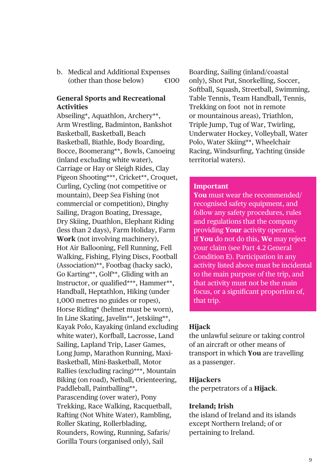b. Medical and Additional Expenses (other than those below)  $\epsilon$ 100

## **General Sports and Recreational Activities**

Abseiling\*, Aquathlon, Archery\*\*, Arm Wrestling, Badminton, Bankshot Basketball, Basketball, Beach Basketball, Biathle, Body Boarding, Bocce, Boomerang\*\*, Bowls, Canoeing (inland excluding white water), Carriage or Hay or Sleigh Rides, Clay Pigeon Shooting\*\*\*, Cricket\*\*, Croquet, Curling, Cycling (not competitive or mountain), Deep Sea Fishing (not commercial or competition), Dinghy Sailing, Dragon Boating, Dressage, Dry Skiing, Duathlon, Elephant Riding (less than 2 days), Farm Holiday, Farm **Work** (not involving machinery), Hot Air Ballooning, Fell Running, Fell Walking, Fishing, Flying Discs, Football (Association)\*\*, Footbag (hacky sack), Go Karting\*\*, Golf\*\*, Gliding with an Instructor, or qualified\*\*\*, Hammer\*\*, Handball, Heptathlon, Hiking (under 1,000 metres no guides or ropes), Horse Riding\* (helmet must be worn), In Line Skating, Javelin\*\*, Jetskiing\*\*, Kayak Polo, Kayaking (inland excluding white water), Korfball, Lacrosse, Land Sailing, Lapland Trip, Laser Games, Long Jump, Marathon Running, Maxi-Basketball, Mini-Basketball, Motor Rallies (excluding racing)\*\*\*, Mountain Biking (on road), Netball, Orienteering, Paddleball, Paintballing\*\*, Parascending (over water), Pony Trekking, Race Walking, Racquetball, Rafting (Not White Water), Rambling, Roller Skating, Rollerblading, Rounders, Rowing, Running, Safaris/ Gorilla Tours (organised only), Sail

Boarding, Sailing (inland/coastal only), Shot Put, Snorkelling, Soccer, Softball, Squash, Streetball, Swimming, Table Tennis, Team Handball, Tennis, Trekking on foot not in remote or mountainous areas), Triathlon, Triple Jump, Tug of War, Twirling, Underwater Hockey, Volleyball, Water Polo, Water Skiing\*\*, Wheelchair Racing, Windsurfing, Yachting (inside territorial waters).

#### **Important**

**You** must wear the recommended/ recognised safety equipment, and follow any safety procedures, rules and regulations that the company providing **Your** activity operates. If **You** do not do this, **We** may reject your claim (see Part 4.2 General Condition E). Participation in any activity listed above must be incidental to the main purpose of the trip, and that activity must not be the main focus, or a significant proportion of, that trip.

#### **Hijack**

the unlawful seizure or taking control of an aircraft or other means of transport in which **You** are travelling as a passenger.

#### **Hijackers**

the perpetrators of a **Hijack**.

#### **Ireland; Irish**

the island of Ireland and its islands except Northern Ireland; of or pertaining to Ireland.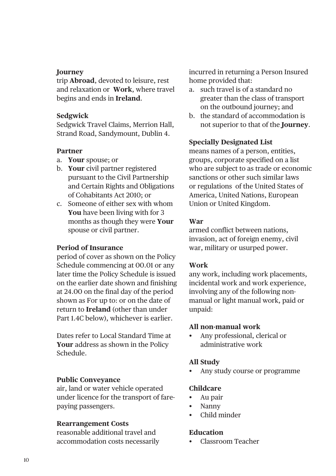#### **Journey**

trip **Abroad**, devoted to leisure, rest and relaxation or **Work**, where travel begins and ends in **Ireland**.

#### **Sedgwick**

Sedgwick Travel Claims, Merrion Hall, Strand Road, Sandymount, Dublin 4.

#### **Partner**

- a. **Your** spouse; or
- b. **Your** civil partner registered pursuant to the Civil Partnership and Certain Rights and Obligations of Cohabitants Act 2010; or
- c. Someone of either sex with whom **You** have been living with for 3 months as though they were **Your** spouse or civil partner.

## **Period of Insurance**

period of cover as shown on the Policy Schedule commencing at 00.01 or any later time the Policy Schedule is issued on the earlier date shown and finishing at 24.00 on the final day of the period shown as For up to: or on the date of return to **Ireland** (other than under Part 1.4C below), whichever is earlier.

Dates refer to Local Standard Time at **Your** address as shown in the Policy Schedule.

#### **Public Conveyance**

air, land or water vehicle operated under licence for the transport of farepaying passengers.

#### **Rearrangement Costs**

reasonable additional travel and accommodation costs necessarily incurred in returning a Person Insured home provided that:

- a. such travel is of a standard no greater than the class of transport on the outbound journey; and
- b. the standard of accommodation is not superior to that of the **Journey**.

## **Specially Designated List**

means names of a person, entities, groups, corporate specified on a list who are subject to as trade or economic sanctions or other such similar laws or regulations of the United States of America, United Nations, European Union or United Kingdom.

## **War**

armed conflict between nations, invasion, act of foreign enemy, civil war, military or usurped power.

## **Work**

any work, including work placements, incidental work and work experience, involving any of the following nonmanual or light manual work, paid or unpaid:

#### **All non-manual work**

• Any professional, clerical or administrative work

## **All Study**

• Any study course or programme

## **Childcare**

- Au pair
- Nanny
- Child minder

## **Education**

• Classroom Teacher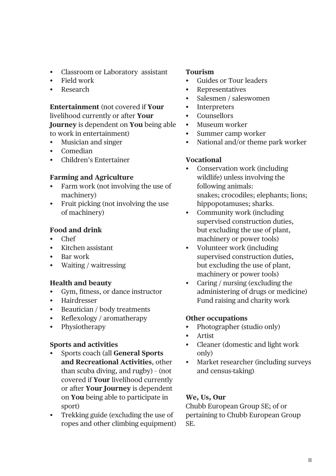- Classroom or Laboratory assistant
- Field work
- Research

**Entertainment** (not covered if **Your** livelihood currently or after **Your Journey** is dependent on **You** being able to work in entertainment)

- Musician and singer
- Comedian
- Children's Entertainer

## **Farming and Agriculture**

- Farm work (not involving the use of machinery)
- Fruit picking (not involving the use of machinery)

## **Food and drink**

- Chef
- Kitchen assistant
- Bar work
- Waiting / waitressing

## **Health and beauty**

- Gym, fitness, or dance instructor
- Hairdresser
- Beautician / body treatments
- Reflexology / aromatherapy
- Physiotherapy

## **Sports and activities**

- Sports coach (all **General Sports and Recreational Activities**, other than scuba diving, and rugby) – (not covered if **Your** livelihood currently or after **Your Journey** is dependent on **You** being able to participate in sport)
- Trekking guide (excluding the use of ropes and other climbing equipment)

## **Tourism**

- Guides or Tour leaders
- **Representatives**
- Salesmen / saleswomen
- Interpreters
- Counsellors
- Museum worker
- Summer camp worker
- National and/or theme park worker

## **Vocational**

- Conservation work (including wildlife) unless involving the following animals: snakes; crocodiles; elephants; lions; hippopotamuses; sharks.
- Community work (including supervised construction duties, but excluding the use of plant, machinery or power tools)
- Volunteer work (including supervised construction duties, but excluding the use of plant, machinery or power tools)
- Caring / nursing (excluding the administering of drugs or medicine) Fund raising and charity work

## **Other occupations**

- Photographer (studio only)
- Artist
- Cleaner (domestic and light work only)
- Market researcher (including surveys and census-taking)

## **We, Us, Our**

Chubb European Group SE; of or pertaining to Chubb European Group SE.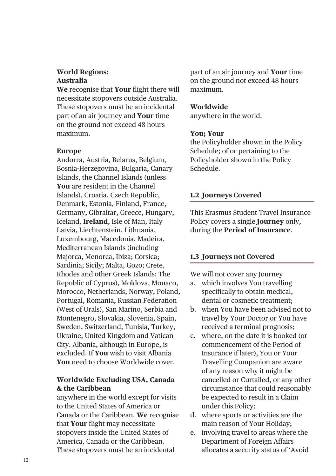## **World Regions: Australia**

**We** recognise that **Your** flight there will necessitate stopovers outside Australia. These stopovers must be an incidental part of an air journey and **Your** time on the ground not exceed 48 hours maximum.

#### **Europe**

Andorra, Austria, Belarus, Belgium, Bosnia-Herzegovina, Bulgaria, Canary Islands, the Channel Islands (unless **You** are resident in the Channel Islands), Croatia, Czech Republic, Denmark, Estonia, Finland, France, Germany, Gibraltar, Greece, Hungary, Iceland, **Ireland**, Isle of Man, Italy Latvia, Liechtenstein, Lithuania, Luxembourg, Macedonia, Madeira, Mediterranean Islands (including Majorca, Menorca, Ibiza; Corsica; Sardinia; Sicily; Malta, Gozo; Crete, Rhodes and other Greek Islands; The Republic of Cyprus), Moldova, Monaco, Morocco, Netherlands, Norway, Poland, Portugal, Romania, Russian Federation (West of Urals), San Marino, Serbia and Montenegro, Slovakia, Slovenia, Spain, Sweden, Switzerland, Tunisia, Turkey, Ukraine, United Kingdom and Vatican City. Albania, although in Europe, is excluded. If **You** wish to visit Albania **You** need to choose Worldwide cover.

## **Worldwide Excluding USA, Canada & the Caribbean**

anywhere in the world except for visits to the United States of America or Canada or the Caribbean. **We** recognise that **Your** flight may necessitate stopovers inside the United States of America, Canada or the Caribbean. These stopovers must be an incidental

part of an air journey and **Your** time on the ground not exceed 48 hours maximum.

### **Worldwide**

anywhere in the world.

#### **You; Your**

the Policyholder shown in the Policy Schedule; of or pertaining to the Policyholder shown in the Policy Schedule.

## **1.2 Journeys Covered**

This Erasmus Student Travel Insurance Policy covers a single **Journey** only, during the **Period of Insurance**.

## **1.3 Journeys not Covered**

We will not cover any Journey

- a. which involves You travelling specifically to obtain medical, dental or cosmetic treatment:
- b. when You have been advised not to travel by Your Doctor or You have received a terminal prognosis;
- c. where, on the date it is booked (or commencement of the Period of Insurance if later), You or Your Travelling Companion are aware of any reason why it might be cancelled or Curtailed, or any other circumstance that could reasonably be expected to result in a Claim under this Policy;
- d. where sports or activities are the main reason of Your Holiday;
- e. involving travel to areas where the Department of Foreign Affairs allocates a security status of 'Avoid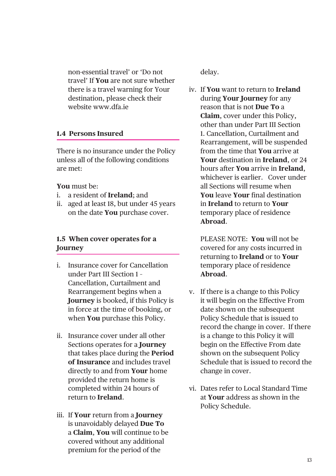non-essential travel' or 'Do not travel' If **You** are not sure whether there is a travel warning for Your destination, please check their website www.dfa.ie

## **1.4 Persons Insured**

There is no insurance under the Policy unless all of the following conditions are met:

#### **You** must be:

- i. a resident of **Ireland**; and
- ii. aged at least 18, but under 45 years on the date **You** purchase cover.

## **1.5 When cover operates for a Journey**

- i. Insurance cover for Cancellation under Part III Section 1 – Cancellation, Curtailment and Rearrangement begins when a **Journey** is booked, if this Policy is in force at the time of booking, or when **You** purchase this Policy.
- ii. Insurance cover under all other Sections operates for a **Journey** that takes place during the **Period of Insurance** and includes travel directly to and from **Your** home provided the return home is completed within 24 hours of return to **Ireland**.
- iii. If **Your** return from a **Journey** is unavoidably delayed **Due To** a **Claim**, **You** will continue to be covered without any additional premium for the period of the

delay.

iv. If **You** want to return to **Ireland** during **Your Journey** for any reason that is not **Due To** a **Claim**, cover under this Policy, other than under Part III Section 1. Cancellation, Curtailment and Rearrangement, will be suspended from the time that **You** arrive at **Your** destination in **Ireland**, or 24 hours after **You** arrive in **Ireland**, whichever is earlier. Cover under all Sections will resume when **You** leave **Your** final destination in **Ireland** to return to **Your** temporary place of residence **Abroad**.

PLEASE NOTE: **You** will not be covered for any costs incurred in returning to **Ireland** or to **Your** temporary place of residence **Abroad**.

- v. If there is a change to this Policy it will begin on the Effective From date shown on the subsequent Policy Schedule that is issued to record the change in cover. If there is a change to this Policy it will begin on the Effective From date shown on the subsequent Policy Schedule that is issued to record the change in cover.
- vi. Dates refer to Local Standard Time at **Your** address as shown in the Policy Schedule.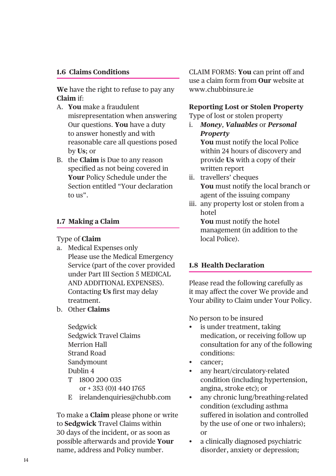### **1.6 Claims Conditions**

**We** have the right to refuse to pay any **Claim** if:

- A. **You** make a fraudulent misrepresentation when answering Our questions. **You** have a duty to answer honestly and with reasonable care all questions posed by **Us**; or
- B. the **Claim** is Due to any reason specified as not being covered in **Your** Policy Schedule under the Section entitled "Your declaration  $\frac{1}{2}$  to  $\frac{1}{2}$

## **1.7 Making a Claim**

## Type of **Claim**

- a. Medical Expenses only Please use the Medical Emergency Service (part of the cover provided under Part III Section 5 MEDICAL AND ADDITIONAL EXPENSES). Contacting **Us** first may delay treatment.
- b. Other **Claims**
	- Sedgwick Sedgwick Travel Claims Merrion Hall Strand Road Sandymount Dublin 4 T 1800 200 035
	- or + 353 (0)1 440 1765
	- E irelandenquiries@chubb.com

To make a **Claim** please phone or write to **Sedgwick** Travel Claims within 30 days of the incident, or as soon as possible afterwards and provide **Your** name, address and Policy number.

CLAIM FORMS: **You** can print off and use a claim form from **Our** website at www.chubbinsure.ie

#### **Reporting Lost or Stolen Property**

Type of lost or stolen property

- i. *Money*, *Valuables* or *Personal Property* **You** must notify the local Police within 24 hours of discovery and provide **Us** with a copy of their written report
- ii. travellers' cheques **You** must notify the local branch or agent of the issuing company
- iii. any property lost or stolen from a hotel **You** must notify the hotel

management (in addition to the local Police).

## **1.8 Health Declaration**

Please read the following carefully as it may affect the cover We provide and Your ability to Claim under Your Policy.

No person to be insured

- is under treatment, taking medication, or receiving follow up consultation for any of the following conditions:
- cancer;
- any heart/circulatory-related condition (including hypertension, angina, stroke etc); or
- any chronic lung/breathing-related condition (excluding asthma suffered in isolation and controlled by the use of one or two inhalers); or
- a clinically diagnosed psychiatric disorder, anxiety or depression;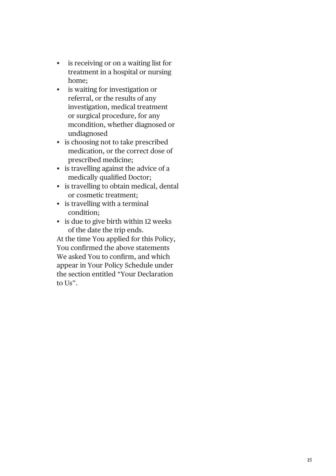- is receiving or on a waiting list for treatment in a hospital or nursing home;
- is waiting for investigation or referral, or the results of any investigation, medical treatment or surgical procedure, for any mcondition, whether diagnosed or undiagnosed
- is choosing not to take prescribed medication, or the correct dose of prescribed medicine;
- is travelling against the advice of a medically qualified Doctor;
- is travelling to obtain medical, dental or cosmetic treatment;
- is travelling with a terminal condition;
- is due to give birth within 12 weeks of the date the trip ends.

At the time You applied for this Policy, You confirmed the above statements We asked You to confirm, and which appear in Your Policy Schedule under the section entitled "Your Declaration to  $\text{Ls}^n$ .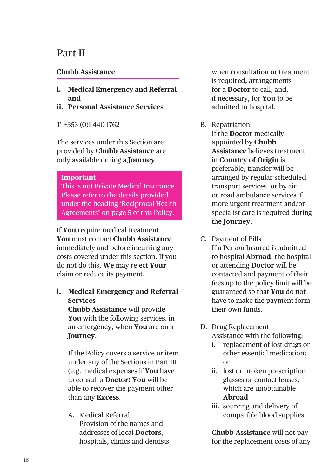## Part II

## **Chubb Assistance**

- **i. Medical Emergency and Referral and**
- **ii. Personal Assistance Services**
- T +353 (0)1 440 1762

The services under this Section are provided by **Chubb Assistance** are only available during a **Journey**

#### **Important**

This is not Private Medical Insurance. Please refer to the details provided under the heading 'Reciprocal Health Agreements' on page 5 of this Policy.

If **You** require medical treatment **You** must contact **Chubb Assistance** immediately and before incurring any costs covered under this section. If you do not do this, **We** may reject **Your** claim or reduce its payment.

## **i. Medical Emergency and Referral Services**

**Chubb Assistance** will provide **You** with the following services, in an emergency, when **You** are on a **Journey**.

If the Policy covers a service or item under any of the Sections in Part III (e.g. medical expenses if **You** have to consult a **Doctor**) **You** will be able to recover the payment other than any **Excess**.

A. Medical Referral Provision of the names and addresses of local **Doctors**, hospitals, clinics and dentists when consultation or treatment is required, arrangements for a **Doctor** to call, and, if necessary, for **You** to be admitted to hospital.

B. Repatriation

 If the **Doctor** medically appointed by **Chubb Assistance** believes treatment in **Country of Origin** is preferable, transfer will be arranged by regular scheduled transport services, or by air or road ambulance services if more urgent treatment and/or specialist care is required during the **Journey**.

- C. Payment of Bills If a Person Insured is admitted to hospital **Abroad**, the hospital or attending **Doctor** will be contacted and payment of their fees up to the policy limit will be guaranteed so that **You** do not have to make the payment form their own funds.
- D. Drug Replacement Assistance with the following:
	- i. replacement of lost drugs or other essential medication; or
	- ii. lost or broken prescription glasses or contact lenses, which are unobtainable **Abroad**
	- iii. sourcing and delivery of compatible blood supplies

 **Chubb Assistance** will not pay for the replacement costs of any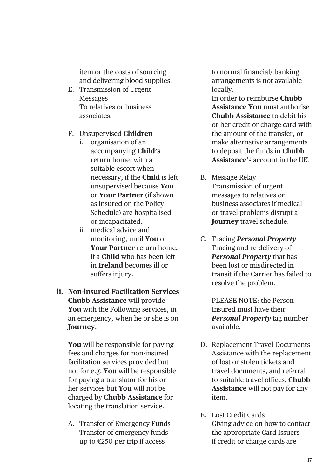item or the costs of sourcing and delivering blood supplies.

- E. Transmission of Urgent Messages To relatives or business associates.
- F. Unsupervised **Children**
	- i. organisation of an accompanying **Child's**  return home, with a suitable escort when necessary, if the **Child** is left unsupervised because **You** or **Your Partner** (if shown as insured on the Policy Schedule) are hospitalised or incapacitated.
	- ii. medical advice and monitoring, until **You** or **Your Partner** return home, if a **Child** who has been left in **Ireland** becomes ill or suffers injury.

## **ii. Non-insured Facilitation Services Chubb Assistance** will provide **You** with the Following services, in an emergency, when he or she is on **Journey**.

**You** will be responsible for paying fees and charges for non-insured facilitation services provided but not for e.g. **You** will be responsible for paying a translator for his or her services but **You** will not be charged by **Chubb Assistance** for locating the translation service.

A. Transfer of Emergency Funds Transfer of emergency funds up to €250 per trip if access

to normal financial/ banking arrangements is not available locally.

 In order to reimburse **Chubb Assistance You** must authorise **Chubb Assistance** to debit his or her credit or charge card with the amount of the transfer, or make alternative arrangements to deposit the funds in **Chubb Assistance**'s account in the UK.

- B. Message Relay Transmission of urgent messages to relatives or business associates if medical or travel problems disrupt a **Journey** travel schedule.
- C. Tracing *Personal Property* Tracing and re-delivery of *Personal Property* that has been lost or misdirected in transit if the Carrier has failed to resolve the problem.

 PLEASE NOTE: the Person Insured must have their *Personal Property* tag number available.

- D. Replacement Travel Documents Assistance with the replacement of lost or stolen tickets and travel documents, and referral to suitable travel offices. **Chubb Assistance** will not pay for any item.
- E. Lost Credit Cards Giving advice on how to contact the appropriate Card Issuers if credit or charge cards are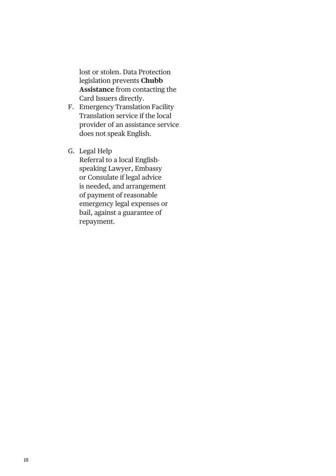lost or stolen. Data Protection legislation prevents **Chubb Assistance** from contacting the Card Issuers directly.

- F. Emergency Translation Facility Translation service if the local provider of an assistance service does not speak English.
- G. Legal Help

 Referral to a local Englishspeaking Lawyer, Embassy or Consulate if legal advice is needed, and arrangement of payment of reasonable emergency legal expenses or bail, against a guarantee of repayment.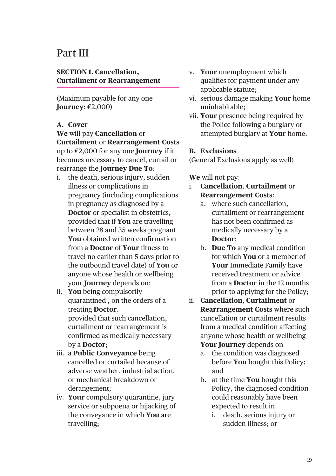## Part III

## **SECTION 1. Cancellation, Curtailment or Rearrangement**

(Maximum payable for any one **Journey**: €2,000)

## **A. Cover**

**We** will pay **Cancellation** or **Curtailment** or **Rearrangement Costs** up to €2,000 for any one **Journey** if it becomes necessary to cancel, curtail or rearrange the **Journey Due To**:

- i. the death, serious injury, sudden illness or complications in pregnancy (including complications in pregnancy as diagnosed by a **Doctor** or specialist in obstetrics, provided that if **You** are travelling between 28 and 35 weeks pregnant **You** obtained written confirmation from a **Doctor** of **Your** fitness to travel no earlier than 5 days prior to the outbound travel date) of **You** or anyone whose health or wellbeing your **Journey** depends on;
- ii. **You** being compulsorily quarantined , on the orders of a treating **Doctor**. provided that such cancellation, curtailment or rearrangement is confirmed as medically necessary by a **Doctor**;
- iii. a **Public Conveyance** being cancelled or curtailed because of adverse weather, industrial action, or mechanical breakdown or derangement;
- iv. **Your** compulsory quarantine, jury service or subpoena or hijacking of the conveyance in which **You** are travelling;
- v. **Your** unemployment which qualifies for payment under any applicable statute;
- vi. serious damage making **Your** home uninhabitable;
- vii. **Your** presence being required by the Police following a burglary or attempted burglary at **Your** home.

#### **B. Exclusions**

(General Exclusions apply as well)

- i. **Cancellation**, **Curtailment** or **Rearrangement Costs**:
	- a. where such cancellation, curtailment or rearrangement has not been confirmed as medically necessary by a **Doctor**;
	- b. **Due To** any medical condition for which **You** or a member of **Your** Immediate Family have received treatment or advice from a **Doctor** in the 12 months prior to applying for the Policy;
- ii. **Cancellation**, **Curtailment** or **Rearrangement Costs** where such cancellation or curtailment results from a medical condition affecting anyone whose health or wellbeing **Your Journey** depends on
	- a. the condition was diagnosed before **You** bought this Policy; and
	- b. at the time **You** bought this Policy, the diagnosed condition could reasonably have been expected to result in
		- i. death, serious injury or sudden illness; or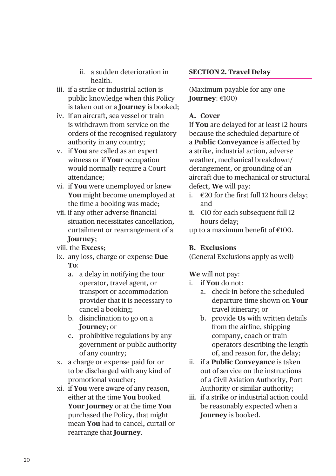- ii. a sudden deterioration in health.
- iii. if a strike or industrial action is public knowledge when this Policy is taken out or a **Journey** is booked;
- iv. if an aircraft, sea vessel or train is withdrawn from service on the orders of the recognised regulatory authority in any country;
- v. if **You** are called as an expert witness or if **Your** occupation would normally require a Court attendance;
- vi. if **You** were unemployed or knew **You** might become unemployed at the time a booking was made;
- vii. if any other adverse financial situation necessitates cancellation, curtailment or rearrangement of a **Journey**;
- viii. the **Excess**;
- ix. any loss, charge or expense **Due To**:
	- a. a delay in notifying the tour operator, travel agent, or transport or accommodation provider that it is necessary to cancel a booking;
	- b. disinclination to go on a **Journey**; or
	- c. prohibitive regulations by any government or public authority of any country;
- x. a charge or expense paid for or to be discharged with any kind of promotional voucher;
- xi. if **You** were aware of any reason, either at the time **You** booked **Your Journey** or at the time **You** purchased the Policy, that might mean **You** had to cancel, curtail or rearrange that **Journey**.

## **SECTION 2. Travel Delay**

(Maximum payable for any one **Journey**: €100)

## **A. Cover**

If **You** are delayed for at least 12 hours because the scheduled departure of a **Public Conveyance** is affected by a strike, industrial action, adverse weather, mechanical breakdown/ derangement, or grounding of an aircraft due to mechanical or structural defect, **We** will pay:

- i.  $€20$  for the first full 12 hours delay: and
- ii. €10 for each subsequent full 12 hours delay;

up to a maximum benefit of €100.

## **B. Exclusions**

(General Exclusions apply as well)

- i. if **You** do not:
	- a. check-in before the scheduled departure time shown on **Your** travel itinerary; or
	- b. provide **Us** with written details from the airline, shipping company, coach or train operators describing the length of, and reason for, the delay;
- ii. if a **Public Conveyance** is taken out of service on the instructions of a Civil Aviation Authority, Port Authority or similar authority;
- iii. if a strike or industrial action could be reasonably expected when a **Journey** is booked.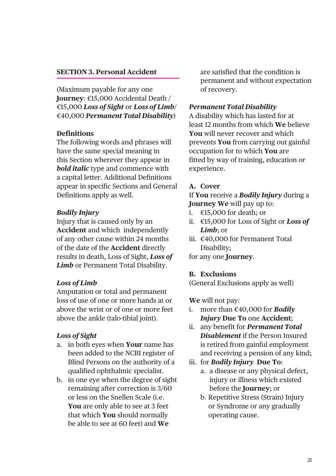#### **SECTION 3. Personal Accident**

(Maximum payable for any one **Journey**: €15,000 Accidental Death / €15,000 *Loss of Sight* or *Loss of Limb*/ €40,000 *Permanent Total Disability*)

#### **Definitions**

The following words and phrases will have the same special meaning in this Section wherever they appear in *bold italic* type and commence with a capital letter. Additional Definitions appear in specific Sections and General Definitions apply as well.

#### *Bodily Injury*

Injury that is caused only by an **Accident** and which independently of any other cause within 24 months of the date of the **Accident** directly results in death, Loss of Sight, *Loss of Limb* or Permanent Total Disability.

## *Loss of Limb*

Amputation or total and permanent loss of use of one or more hands at or above the wrist or of one or more feet above the ankle (talo-tibial joint).

## *Loss of Sight*

- a. in both eyes when **Your** name has been added to the NCBI register of Blind Persons on the authority of a qualified ophthalmic specialist.
- b. in one eye when the degree of sight remaining after correction is 3/60 or less on the Snellen Scale (i.e. **You** are only able to see at 3 feet that which **You** should normally be able to see at 60 feet) and **We**

are satisfied that the condition is permanent and without expectation of recovery.

#### *Permanent Total Disability*

A disability which has lasted for at least 12 months from which **We** believe **You** will never recover and which prevents **You** from carrying out gainful occupation for to which **You** are fitted by way of training, education or experience.

## **A. Cover**

If **You** receive a *Bodily Injury* during a **Journey We** will pay up to:

- i. €15,000 for death; or
- ii. €15,000 for Loss of Sight or *Loss of Limb*; or
- iii. €40,000 for Permanent Total Disability;

for any one **Journey**.

#### **B. Exclusions**

(General Exclusions apply as well)

- i. more than €40,000 for *Bodily Injury* **Due To** one **Accident**;
- ii. any benefit for *Permanent Total Disablement* if the Person Insured is retired from gainful employment and receiving a pension of any kind;
- iii. for *Bodily Injury* **Due To**:
	- a. a disease or any physical defect, injury or illness which existed before the **Journey**; or
	- b. Repetitive Stress (Strain) Injury or Syndrome or any gradually operating cause.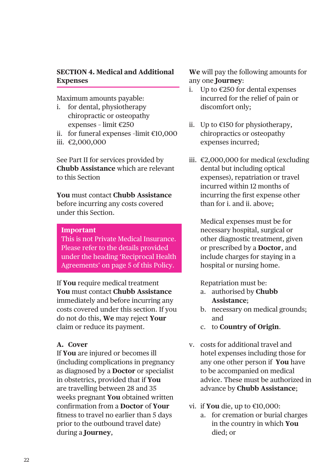## **SECTION 4. Medical and Additional Expenses**

Maximum amounts payable:

- i. for dental, physiotherapy chiropractic or osteopathy expenses – limit €250
- ii. for funeral expenses –limit €10,000
- iii. €2,000,000

See Part II for services provided by **Chubb Assistance** which are relevant to this Section

**You** must contact **Chubb Assistance** before incurring any costs covered under this Section.

#### **Important**

This is not Private Medical Insurance. Please refer to the details provided under the heading 'Reciprocal Health Agreements' on page 5 of this Policy.

If **You** require medical treatment **You** must contact **Chubb Assistance** immediately and before incurring any costs covered under this section. If you do not do this, **We** may reject **Your** claim or reduce its payment.

#### **A. Cover**

If **You** are injured or becomes ill (including complications in pregnancy as diagnosed by a **Doctor** or specialist in obstetrics, provided that if **You** are travelling between 28 and 35 weeks pregnant **You** obtained written confirmation from a **Doctor** of **Your**  fitness to travel no earlier than 5 days prior to the outbound travel date) during a **Journey**,

**We** will pay the following amounts for any one **Journey**:

- i. Up to €250 for dental expenses incurred for the relief of pain or discomfort only;
- ii. Up to €150 for physiotherapy, chiropractics or osteopathy expenses incurred;
- iii. €2,000,000 for medical (excluding dental but including optical expenses), repatriation or travel incurred within 12 months of incurring the first expense other than for i. and ii. above;

Medical expenses must be for necessary hospital, surgical or other diagnostic treatment, given or prescribed by a **Doctor**, and include charges for staying in a hospital or nursing home.

Repatriation must be:

- a. authorised by **Chubb Assistance**;
- b. necessary on medical grounds; and
- c. to **Country of Origin**.
- v. costs for additional travel and hotel expenses including those for any one other person if **You** have to be accompanied on medical advice. These must be authorized in advance by **Chubb Assistance**;
- vi. if **You** die, up to €10,000:
	- a. for cremation or burial charges in the country in which **You** died; or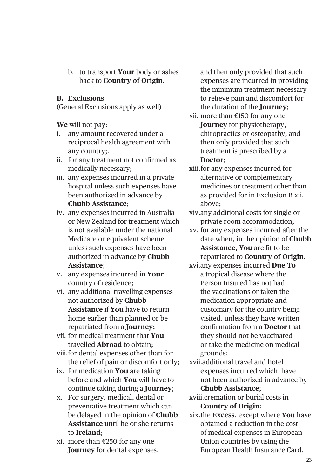b. to transport **Your** body or ashes back to **Country of Origin**.

## **B. Exclusions**

(General Exclusions apply as well)

**We** will not pay:

- i. any amount recovered under a reciprocal health agreement with any country;.
- ii. for any treatment not confirmed as medically necessary;
- iii. any expenses incurred in a private hospital unless such expenses have been authorized in advance by **Chubb Assistance**;
- iv. any expenses incurred in Australia or New Zealand for treatment which is not available under the national Medicare or equivalent scheme unless such expenses have been authorized in advance by **Chubb Assistance**;
- v. any expenses incurred in **Your** country of residence;
- vi. any additional travelling expenses not authorized by **Chubb Assistance** if **You** have to return home earlier than planned or be repatriated from a **Journey**;
- vii. for medical treatment that **You** travelled **Abroad** to obtain;
- viii.for dental expenses other than for the relief of pain or discomfort only;
- ix. for medication **You** are taking before and which **You** will have to continue taking during a **Journey**;
- x. For surgery, medical, dental or preventative treatment which can be delayed in the opinion of **Chubb Assistance** until he or she returns to **Ireland**;
- xi. more than €250 for any one **Journey** for dental expenses,

and then only provided that such expenses are incurred in providing the minimum treatment necessary to relieve pain and discomfort for the duration of the **Journey**;

- xii. more than €150 for any one **Journey** for physiotherapy, chiropractics or osteopathy, and then only provided that such treatment is prescribed by a **Doctor**;
- xiii.for any expenses incurred for alternative or complementary medicines or treatment other than as provided for in Exclusion B xii. above;
- xiv.any additional costs for single or private room accommodation;
- xv. for any expenses incurred after the date when, in the opinion of **Chubb Assistance**, **You** are fit to be repatriated to **Country of Origin**.
- xvi.any expenses incurred **Due To** a tropical disease where the Person Insured has not had the vaccinations or taken the medication appropriate and customary for the country being visited, unless they have written confirmation from a **Doctor** that they should not be vaccinated or take the medicine on medical grounds;

xvii.additional travel and hotel expenses incurred which have not been authorized in advance by **Chubb Assistance**;

xviii.cremation or burial costs in **Country of Origin**;

xix.the **Excess**, except where **You** have obtained a reduction in the cost of medical expenses in European Union countries by using the European Health Insurance Card.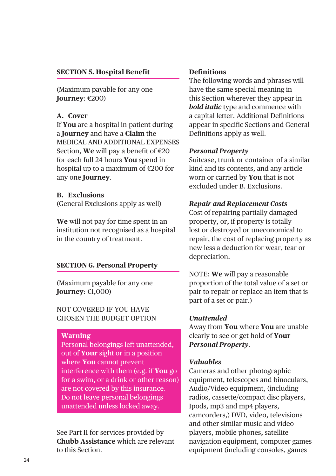## **SECTION 5. Hospital Benefit**

(Maximum payable for any one **Journey**: €200)

#### **A. Cover**

If **You** are a hospital in-patient during a **Journey** and have a **Claim** the MEDICAL AND ADDITIONAL EXPENSES Section, **We** will pay a benefit of €20 for each full 24 hours **You** spend in hospital up to a maximum of €200 for any one **Journey**.

#### **B. Exclusions**

(General Exclusions apply as well)

**We** will not pay for time spent in an institution not recognised as a hospital in the country of treatment.

## **SECTION 6. Personal Property**

(Maximum payable for any one **Journey**: €1,000)

NOT COVERED IF YOU HAVE CHOSEN THE BUDGET OPTION

#### **Warning**

Personal belongings left unattended, out of **Your** sight or in a position where **You** cannot prevent interference with them (e.g. if **You** go for a swim, or a drink or other reason) are not covered by this insurance. Do not leave personal belongings unattended unless locked away.

See Part II for services provided by **Chubb Assistance** which are relevant to this Section.

#### **Definitions**

The following words and phrases will have the same special meaning in this Section wherever they appear in *bold italic* type and commence with a capital letter. Additional Definitions appear in specific Sections and General Definitions apply as well.

#### *Personal Property*

Suitcase, trunk or container of a similar kind and its contents, and any article worn or carried by **You** that is not excluded under B. Exclusions.

## *Repair and Replacement Costs*

Cost of repairing partially damaged property, or, if property is totally lost or destroyed or uneconomical to repair, the cost of replacing property as new less a deduction for wear, tear or depreciation.

NOTE: **We** will pay a reasonable proportion of the total value of a set or pair to repair or replace an item that is part of a set or pair.)

#### *Unattended*

Away from **You** where **You** are unable clearly to see or get hold of **Your** *Personal Property*.

#### *Valuables*

Cameras and other photographic equipment, telescopes and binoculars, Audio/Video equipment, (including radios, cassette/compact disc players, Ipods, mp3 and mp4 players, camcorders,) DVD, video, televisions and other similar music and video players, mobile phones, satellite navigation equipment, computer games equipment (including consoles, games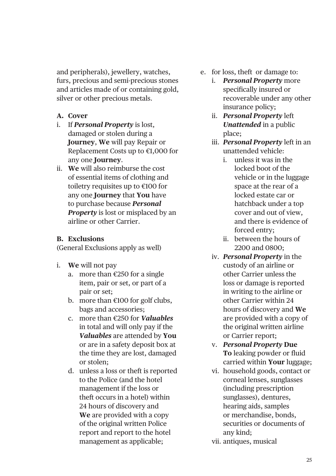and peripherals), jewellery, watches, furs, precious and semi-precious stones and articles made of or containing gold, silver or other precious metals.

- **A. Cover**
- i. If *Personal Property* is lost, damaged or stolen during a **Journey**, **We** will pay Repair or Replacement Costs up to €1,000 for any one **Journey**.
- ii. **We** will also reimburse the cost of essential items of clothing and toiletry requisites up to €100 for any one **Journey** that **You** have to purchase because *Personal Property* is lost or misplaced by an airline or other Carrier.

## **B. Exclusions**

(General Exclusions apply as well)

- i. **We** will not pay
	- a. more than €250 for a single item, pair or set, or part of a pair or set;
	- b. more than €100 for golf clubs, bags and accessories;
	- c. more than €250 for *Valuables* in total and will only pay if the *Valuables* are attended by **You** or are in a safety deposit box at the time they are lost, damaged or stolen;
	- d. unless a loss or theft is reported to the Police (and the hotel management if the loss or theft occurs in a hotel) within 24 hours of discovery and **We** are provided with a copy of the original written Police report and report to the hotel management as applicable;
- e. for loss, theft or damage to:
	- i. *Personal Property* more specifically insured or recoverable under any other insurance policy;
	- ii. *Personal Property* left *Unattended* in a public place;
	- iii. *Personal Property* left in an unattended vehicle:
		- i. unless it was in the locked boot of the vehicle or in the luggage space at the rear of a locked estate car or hatchback under a top cover and out of view, and there is evidence of forced entry;
		- ii. between the hours of 2200 and 0800;
	- iv. *Personal Property* in the custody of an airline or other Carrier unless the loss or damage is reported in writing to the airline or other Carrier within 24 hours of discovery and **We** are provided with a copy of the original written airline or Carrier report;
	- v. *Personal Property* **Due To** leaking powder or fluid carried within **Your** luggage;
	- vi. household goods, contact or corneal lenses, sunglasses (including prescription sunglasses), dentures, hearing aids, samples or merchandise, bonds, securities or documents of any kind;
	- vii. antiques, musical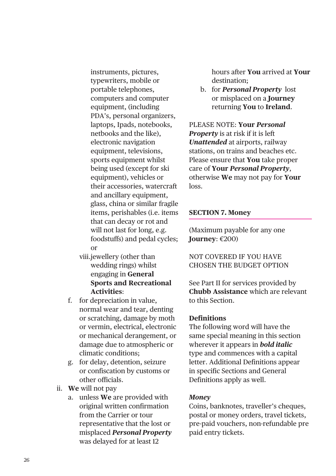instruments, pictures, typewriters, mobile or portable telephones, computers and computer equipment, (including PDA's, personal organizers, laptops, Ipads, notebooks, netbooks and the like), electronic navigation equipment, televisions, sports equipment whilst being used (except for ski equipment), vehicles or their accessories, watercraft and ancillary equipment, glass, china or similar fragile items, perishables (i.e. items that can decay or rot and will not last for long, e.g. foodstuffs) and pedal cycles; or

- viii.jewellery (other than wedding rings) whilst engaging in **General Sports and Recreational Activities**:
- f. for depreciation in value, normal wear and tear, denting or scratching, damage by moth or vermin, electrical, electronic or mechanical derangement, or damage due to atmospheric or climatic conditions;
- g. for delay, detention, seizure or confiscation by customs or other officials.
- ii. **We** will not pay
	- a. unless **We** are provided with original written confirmation from the Carrier or tour representative that the lost or misplaced *Personal Property* was delayed for at least 12

hours after **You** arrived at **Your** destination;

b. for *Personal Property* lost or misplaced on a **Journey** returning **You** to **Ireland**.

PLEASE NOTE: **Your** *Personal Property* is at risk if it is left *Unattended* at airports, railway stations, on trains and beaches etc. Please ensure that **You** take proper care of **Your** *Personal Property*, otherwise **We** may not pay for **Your** loss.

#### **SECTION 7. Money**

(Maximum payable for any one **Journey**: €200)

NOT COVERED IF YOU HAVE CHOSEN THE BUDGET OPTION

See Part II for services provided by **Chubb Assistance** which are relevant to this Section.

#### **Definitions**

The following word will have the same special meaning in this section wherever it appears in *bold italic* type and commences with a capital letter. Additional Definitions appear in specific Sections and General Definitions apply as well.

#### *Money*

Coins, banknotes, traveller's cheques, postal or money orders, travel tickets, pre-paid vouchers, non-refundable pre paid entry tickets.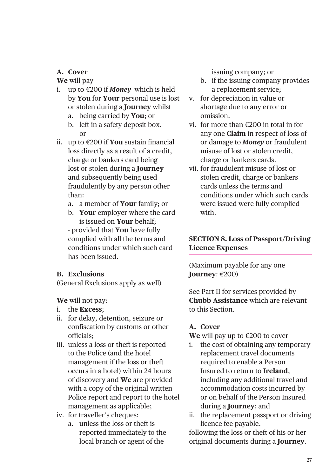## **A. Cover**

**We** will pay

- i. up to €200 if *Money* which is held by **You** for **Your** personal use is lost or stolen during a **Journey** whilst
	- a. being carried by **You**; or
	- b. left in a safety deposit box. or
- ii. up to €200 if **You** sustain financial loss directly as a result of a credit, charge or bankers card being lost or stolen during a **Journey** and subsequently being used fraudulently by any person other than:
	- a. a member of **Your** family; or
	- b. **Your** employer where the card is issued on **Your** behalf; - provided that **You** have fully complied with all the terms and conditions under which such card has been issued.

## **B. Exclusions**

(General Exclusions apply as well)

**We** will not pay:

- i. the **Excess**;
- ii. for delay, detention, seizure or confiscation by customs or other officials;
- iii. unless a loss or theft is reported to the Police (and the hotel management if the loss or theft occurs in a hotel) within 24 hours of discovery and **We** are provided with a copy of the original written Police report and report to the hotel management as applicable;
- iv. for traveller's cheques:
	- a. unless the loss or theft is reported immediately to the local branch or agent of the

issuing company; or

- b. if the issuing company provides a replacement service;
- v. for depreciation in value or shortage due to any error or omission.
- vi. for more than €200 in total in for any one **Claim** in respect of loss of or damage to *Money* or fraudulent misuse of lost or stolen credit, charge or bankers cards.
- vii. for fraudulent misuse of lost or stolen credit, charge or bankers cards unless the terms and conditions under which such cards were issued were fully complied with.

## **SECTION 8. Loss of Passport/Driving Licence Expenses**

(Maximum payable for any one **Journey**: €200)

See Part II for services provided by **Chubb Assistance** which are relevant to this Section.

## **A. Cover**

**We** will pay up to €200 to cover

- i. the cost of obtaining any temporary replacement travel documents required to enable a Person Insured to return to **Ireland**, including any additional travel and accommodation costs incurred by or on behalf of the Person Insured during a **Journey**; and
- ii. the replacement passport or driving licence fee payable.

following the loss or theft of his or her original documents during a **Journey**.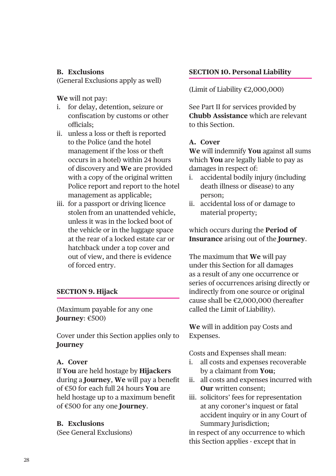## **B. Exclusions**

(General Exclusions apply as well)

**We** will not pay:

- i. for delay, detention, seizure or confiscation by customs or other officials;
- ii. unless a loss or theft is reported to the Police (and the hotel management if the loss or theft occurs in a hotel) within 24 hours of discovery and **We** are provided with a copy of the original written Police report and report to the hotel management as applicable;
- iii. for a passport or driving licence stolen from an unattended vehicle, unless it was in the locked boot of the vehicle or in the luggage space at the rear of a locked estate car or hatchback under a top cover and out of view, and there is evidence of forced entry.

## **SECTION 9. Hijack**

(Maximum payable for any one **Journey**: €500)

Cover under this Section applies only to **Journey**

## **A. Cover**

If **You** are held hostage by **Hijackers** during a **Journey**, **We** will pay a benefit of €50 for each full 24 hours **You** are held hostage up to a maximum benefit of €500 for any one **Journey**.

## **B. Exclusions**

(See General Exclusions)

## **SECTION 10. Personal Liability**

(Limit of Liability €2,000,000)

See Part II for services provided by **Chubb Assistance** which are relevant to this Section.

## **A. Cover**

**We** will indemnify **You** against all sums which **You** are legally liable to pay as damages in respect of:

- i. accidental bodily injury (including death illness or disease) to any person;
- ii. accidental loss of or damage to material property;

which occurs during the **Period of Insurance** arising out of the **Journey**.

The maximum that **We** will pay under this Section for all damages as a result of any one occurrence or series of occurrences arising directly or indirectly from one source or original cause shall be €2,000,000 (hereafter called the Limit of Liability).

**We** will in addition pay Costs and Expenses.

Costs and Expenses shall mean:

- i. all costs and expenses recoverable by a claimant from **You**;
- ii. all costs and expenses incurred with **Our** written consent;
- iii. solicitors' fees for representation at any coroner's inquest or fatal accident inquiry or in any Court of Summary Jurisdiction;

in respect of any occurrence to which this Section applies - except that in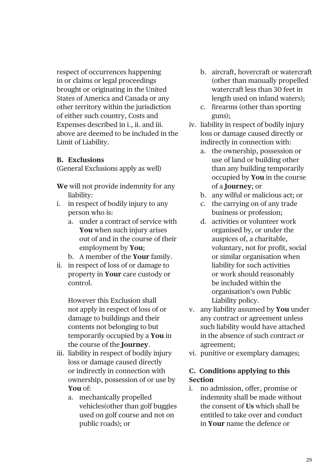respect of occurrences happening in or claims or legal proceedings brought or originating in the United States of America and Canada or any other territory within the jurisdiction of either such country, Costs and Expenses described in i., ii. and iii. above are deemed to be included in the Limit of Liability.

## **B. Exclusions**

(General Exclusions apply as well)

- **We** will not provide indemnity for any liability:
- i. in respect of bodily injury to any person who is:
	- a. under a contract of service with **You** when such injury arises out of and in the course of their employment by **You**;
	- b. A member of the **Your** family.
- ii. in respect of loss of or damage to property in **Your** care custody or control.

However this Exclusion shall not apply in respect of loss of or damage to buildings and their contents not belonging to but temporarily occupied by a **You** in the course of the **Journey**.

- iii. liability in respect of bodily injury loss or damage caused directly or indirectly in connection with ownership, possession of or use by **You** of:
	- a. mechanically propelled vehicles(other than golf buggies used on golf course and not on public roads); or
- b. aircraft, hovercraft or watercraft (other than manually propelled watercraft less than 30 feet in length used on inland waters);
- c. firearms (other than sporting guns);
- iv. liability in respect of bodily injury loss or damage caused directly or indirectly in connection with:
	- a. the ownership, possession or use of land or building other than any building temporarily occupied by **You** in the course of a **Journey**; or
	- b. any wilful or malicious act; or
	- c. the carrying on of any trade business or profession;
	- d. activities or volunteer work organised by, or under the auspices of, a charitable, voluntary, not for profit, social or similar organisation when liability for such activities or work should reasonably be included within the organisation's own Public Liability policy.
- v. any liability assumed by **You** under any contract or agreement unless such liability would have attached in the absence of such contract or agreement;
- vi. punitive or exemplary damages;

## **C. Conditions applying to this Section**

i. no admission, offer, promise or indemnity shall be made without the consent of **Us** which shall be entitled to take over and conduct in **Your** name the defence or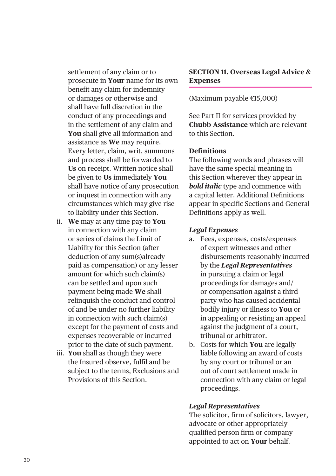settlement of any claim or to prosecute in **Your** name for its own benefit any claim for indemnity or damages or otherwise and shall have full discretion in the conduct of any proceedings and in the settlement of any claim and **You** shall give all information and assistance as **We** may require. Every letter, claim, writ, summons and process shall be forwarded to **Us** on receipt. Written notice shall be given to **Us** immediately **You** shall have notice of any prosecution or inquest in connection with any circumstances which may give rise to liability under this Section.

- ii. **We** may at any time pay to **You** in connection with any claim or series of claims the Limit of Liability for this Section (after deduction of any sum(s)already paid as compensation) or any lesser amount for which such claim(s) can be settled and upon such payment being made **We** shall relinquish the conduct and control of and be under no further liability in connection with such claim(s) except for the payment of costs and expenses recoverable or incurred prior to the date of such payment.
- iii. **You** shall as though they were the Insured observe, fulfil and be subject to the terms, Exclusions and Provisions of this Section.

## **SECTION 11. Overseas Legal Advice & Expenses**

(Maximum payable €15,000)

See Part II for services provided by **Chubb Assistance** which are relevant to this Section.

#### **Definitions**

The following words and phrases will have the same special meaning in this Section wherever they appear in *bold italic* type and commence with a capital letter. Additional Definitions appear in specific Sections and General Definitions apply as well.

#### *Legal Expenses*

- a. Fees, expenses, costs/expenses of expert witnesses and other disbursements reasonably incurred by the *Legal Representatives* in pursuing a claim or legal proceedings for damages and/ or compensation against a third party who has caused accidental bodily injury or illness to **You** or in appealing or resisting an appeal against the judgment of a court, tribunal or arbitrator.
- b. Costs for which **You** are legally liable following an award of costs by any court or tribunal or an out of court settlement made in connection with any claim or legal proceedings.

#### *Legal Representatives*

The solicitor, firm of solicitors, lawyer, advocate or other appropriately qualified person firm or company appointed to act on **Your** behalf.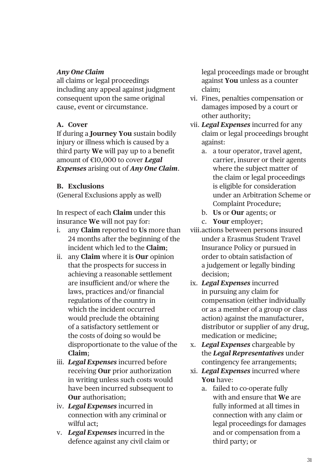## *Any One Claim*

all claims or legal proceedings including any appeal against judgment consequent upon the same original cause, event or circumstance.

## **A. Cover**

If during a **Journey You** sustain bodily injury or illness which is caused by a third party **We** will pay up to a benefit amount of €10,000 to cover *Legal Expenses* arising out of *Any One Claim*.

## **B. Exclusions**

(General Exclusions apply as well)

In respect of each **Claim** under this insurance **We** will not pay for:

- i. any **Claim** reported to **Us** more than 24 months after the beginning of the incident which led to the **Claim**;
- ii. any **Claim** where it is **Our** opinion that the prospects for success in achieving a reasonable settlement are insufficient and/or where the laws, practices and/or financial regulations of the country in which the incident occurred would preclude the obtaining of a satisfactory settlement or the costs of doing so would be disproportionate to the value of the **Claim**;
- iii. *Legal Expenses* incurred before receiving **Our** prior authorization in writing unless such costs would have been incurred subsequent to **Our** authorisation;
- iv. *Legal Expenses* incurred in connection with any criminal or wilful act;
- v. *Legal Expenses* incurred in the defence against any civil claim or

legal proceedings made or brought against **You** unless as a counter claim;

- vi. Fines, penalties compensation or damages imposed by a court or other authority;
- vii. *Legal Expenses* incurred for any claim or legal proceedings brought against:
	- a. a tour operator, travel agent, carrier, insurer or their agents where the subject matter of the claim or legal proceedings is eligible for consideration under an Arbitration Scheme or Complaint Procedure;
	- b. **Us** or **Our** agents; or
	- c. **Your** employer;
- viii.actions between persons insured under a Erasmus Student Travel Insurance Policy or pursued in order to obtain satisfaction of a judgement or legally binding decision;
- ix. *Legal Expenses* incurred in pursuing any claim for compensation (either individually or as a member of a group or class action) against the manufacturer, distributor or supplier of any drug, medication or medicine;
- x. *Legal Expenses* chargeable by the *Legal Representatives* under contingency fee arrangements;
- xi. *Legal Expenses* incurred where **You** have:
	- a. failed to co-operate fully with and ensure that **We** are fully informed at all times in connection with any claim or legal proceedings for damages and or compensation from a third party; or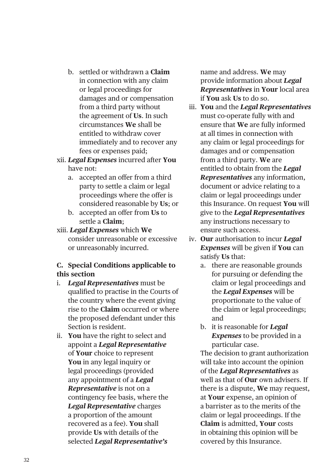- b. settled or withdrawn a **Claim** in connection with any claim or legal proceedings for damages and or compensation from a third party without the agreement of **Us**. In such circumstances **We** shall be entitled to withdraw cover immediately and to recover any fees or expenses paid;
- xii. *Legal Expenses* incurred after **You** have not:
	- a. accepted an offer from a third party to settle a claim or legal proceedings where the offer is considered reasonable by **Us**; or
	- b. accepted an offer from **Us** to settle a **Claim**;
- xiii. *Legal Expenses* which **We** consider unreasonable or excessive or unreasonably incurred.

## **C. Special Conditions applicable to this section**

- i. *Legal Representatives* must be qualified to practise in the Courts of the country where the event giving rise to the **Claim** occurred or where the proposed defendant under this Section is resident.
- ii. **You** have the right to select and appoint a *Legal Representative* of **Your** choice to represent **You** in any legal inquiry or legal proceedings (provided any appointment of a *Legal Representative* is not on a contingency fee basis, where the *Legal Representative* charges a proportion of the amount recovered as a fee). **You** shall provide **Us** with details of the selected *Legal Representative's*

name and address. **We** may provide information about *Legal Representatives* in **Your** local area if **You** ask **Us** to do so.

- iii. **You** and the *Legal Representatives* must co-operate fully with and ensure that **We** are fully informed at all times in connection with any claim or legal proceedings for damages and or compensation from a third party. **We** are entitled to obtain from the *Legal Representatives* any information, document or advice relating to a claim or legal proceedings under this Insurance. On request **You** will give to the *Legal Representatives* any instructions necessary to ensure such access.
- iv. **Our** authorisation to incur *Legal Expenses* will be given if **You** can satisfy **Us** that:
	- a. there are reasonable grounds for pursuing or defending the claim or legal proceedings and the *Legal Expenses* will be proportionate to the value of the claim or legal proceedings; and
	- b. it is reasonable for *Legal Expenses* to be provided in a particular case.

The decision to grant authorization will take into account the opinion of the *Legal Representatives* as well as that of **Our** own advisers. If there is a dispute, **We** may request, at **Your** expense, an opinion of a barrister as to the merits of the claim or legal proceedings. If the **Claim** is admitted, **Your** costs in obtaining this opinion will be covered by this Insurance.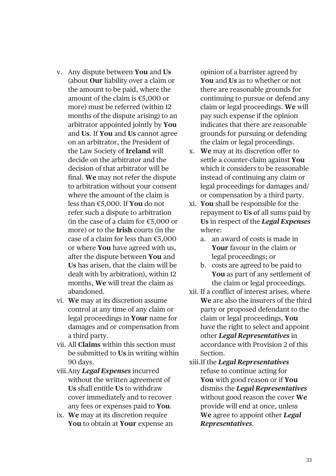- v. Any dispute between **You** and **Us** (about **Our** liability over a claim or the amount to be paid, where the amount of the claim is €5,000 or more) must be referred (within 12 months of the dispute arising) to an arbitrator appointed jointly by **You** and **Us**. If **You** and **Us** cannot agree on an arbitrator, the President of the Law Society of **Ireland** will decide on the arbitrator and the decision of that arbitrator will be final. **We** may not refer the dispute to arbitration without your consent where the amount of the claim is less than €5,000. If **You** do not refer such a dispute to arbitration (in the case of a claim for €5,000 or more) or to the **Irish** courts (in the case of a claim for less than €5,000 or where **You** have agreed with us, after the dispute between **You** and **Us** has arisen, that the claim will be dealt with by arbitration), within 12 months, **We** will treat the claim as abandoned.
- vi. **We** may at its discretion assume control at any time of any claim or legal proceedings in **Your** name for damages and or compensation from a third party.
- vii. All **Claims** within this section must be submitted to **Us** in writing within 90 days.
- viii.Any *Legal Expenses* incurred without the written agreement of **Us** shall entitle **Us** to withdraw cover immediately and to recover any fees or expenses paid to **You**.
- ix. **We** may at its discretion require **You** to obtain at **Your** expense an

opinion of a barrister agreed by **You** and **Us** as to whether or not there are reasonable grounds for continuing to pursue or defend any claim or legal proceedings. **We** will pay such expense if the opinion indicates that there are reasonable grounds for pursuing or defending the claim or legal proceedings.

- x. **We** may at its discretion offer to settle a counter-claim against **You** which it considers to be reasonable instead of continuing any claim or legal proceedings for damages and/ or compensation by a third party.
- xi. **You** shall be responsible for the repayment to **Us** of all sums paid by **Us** in respect of the *Legal Expenses* where:
	- a. an award of costs is made in **Your** favour in the claim or legal proceedings; or
	- b. costs are agreed to be paid to **You** as part of any settlement of the claim or legal proceedings.
- xii. If a conflict of interest arises, where **We** are also the insurers of the third party or proposed defendant to the claim or legal proceedings, **You** have the right to select and appoint other *Legal Representatives* in accordance with Provision 2 of this Section.
- xiii.If the *Legal Representatives* refuse to continue acting for **You** with good reason or if **You** dismiss the *Legal Representatives* without good reason the cover **We** provide will end at once, unless **We** agree to appoint other *Legal Representatives*.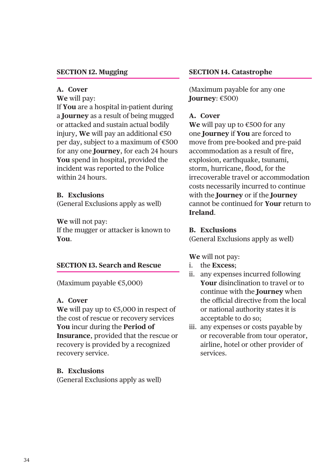#### **SECTION 12. Mugging**

#### **A. Cover**

**We** will pay:

If **You** are a hospital in-patient during a **Journey** as a result of being mugged or attacked and sustain actual bodily injury, **We** will pay an additional €50 per day, subject to a maximum of €500 for any one **Journey**, for each 24 hours **You** spend in hospital, provided the incident was reported to the Police within 24 hours.

#### **B. Exclusions**

(General Exclusions apply as well)

**We** will not pay:

If the mugger or attacker is known to **You**.

#### **SECTION 13. Search and Rescue**

(Maximum payable €5,000)

## **A. Cover**

**We** will pay up to €5,000 in respect of the cost of rescue or recovery services **You** incur during the **Period of Insurance**, provided that the rescue or recovery is provided by a recognized recovery service.

#### **B. Exclusions**

(General Exclusions apply as well)

#### **SECTION 14. Catastrophe**

(Maximum payable for any one **Journey**: €500)

## **A. Cover**

**We** will pay up to €500 for any one **Journey** if **You** are forced to move from pre-booked and pre-paid accommodation as a result of fire, explosion, earthquake, tsunami, storm, hurricane, flood, for the irrecoverable travel or accommodation costs necessarily incurred to continue with the **Journey** or if the **Journey** cannot be continued for **Your** return to **Ireland**.

#### **B. Exclusions**

(General Exclusions apply as well)

- i. the **Excess**;
- ii. any expenses incurred following **Your** disinclination to travel or to continue with the **Journey** when the official directive from the local or national authority states it is acceptable to do so;
- iii. any expenses or costs payable by or recoverable from tour operator, airline, hotel or other provider of services.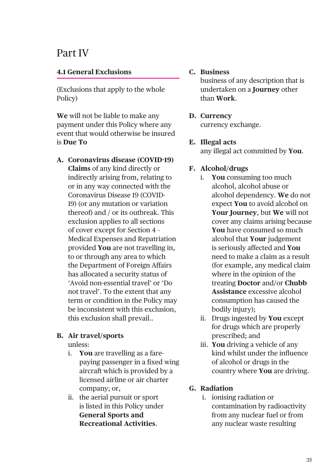## Part IV

## **4.1 General Exclusions**

(Exclusions that apply to the whole Policy)

**We** will not be liable to make any payment under this Policy where any event that would otherwise be insured is **Due To**

**A. Coronavirus disease (COVID-19) Claims** of any kind directly or indirectly arising from, relating to or in any way connected with the Coronavirus Disease 19 (COVID-19) (or any mutation or variation thereof) and / or its outbreak. This exclusion applies to all sections of cover except for Section 4 – Medical Expenses and Repatriation provided **You** are not travelling in, to or through any area to which the Department of Foreign Affairs has allocated a security status of 'Avoid non-essential travel' or 'Do not travel'. To the extent that any term or condition in the Policy may be inconsistent with this exclusion, this exclusion shall prevail..

## **B. Air travel/sports**

unless:

- i. **You** are travelling as a farepaying passenger in a fixed wing aircraft which is provided by a licensed airline or air charter company; or,
- ii. the aerial pursuit or sport is listed in this Policy under **General Sports and Recreational Activities**.

### **C. Business**

business of any description that is undertaken on a **Journey** other than **Work**.

#### **D. Currency**

currency exchange.

## **E. Illegal acts**

any illegal act committed by **You**.

## **F. Alcohol/drugs**

- i. **You** consuming too much alcohol, alcohol abuse or alcohol dependency. **We** do not expect **You** to avoid alcohol on **Your Journey**, but **We** will not cover any claims arising because **You** have consumed so much alcohol that **Your** judgement is seriously affected and **You** need to make a claim as a result (for example, any medical claim where in the opinion of the treating **Doctor** and/or **Chubb Assistance** excessive alcohol consumption has caused the bodily injury);
- ii. Drugs ingested by **You** except for drugs which are properly prescribed; and
- iii. **You** driving a vehicle of any kind whilst under the influence of alcohol or drugs in the country where **You** are driving.

## **G. Radiation**

 i. ionising radiation or contamination by radioactivity from any nuclear fuel or from any nuclear waste resulting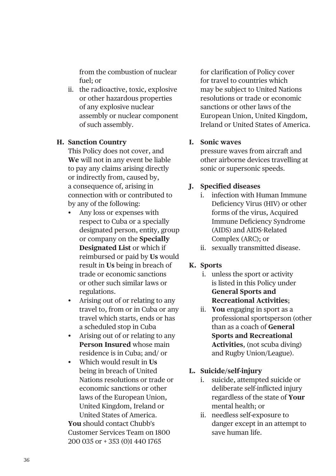from the combustion of nuclear fuel; or

ii. the radioactive, toxic, explosive or other hazardous properties of any explosive nuclear assembly or nuclear component of such assembly.

## **H. Sanction Country**

This Policy does not cover, and **We** will not in any event be liable to pay any claims arising directly or indirectly from, caused by, a consequence of, arising in connection with or contributed to by any of the following:

- Any loss or expenses with respect to Cuba or a specially designated person, entity, group or company on the **Specially Designated List** or which if reimbursed or paid by **Us** would result in **Us** being in breach of trade or economic sanctions or other such similar laws or regulations.
- Arising out of or relating to any travel to, from or in Cuba or any travel which starts, ends or has a scheduled stop in Cuba
- Arising out of or relating to any **Person Insured** whose main residence is in Cuba; and/ or
- Which would result in **Us** being in breach of United Nations resolutions or trade or economic sanctions or other laws of the European Union, United Kingdom, Ireland or United States of America.

**You** should contact Chubb's Customer Services Team on 1800 200 035 or + 353 (0)1 440 1765

for clarification of Policy cover for travel to countries which may be subject to United Nations resolutions or trade or economic sanctions or other laws of the European Union, United Kingdom, Ireland or United States of America.

## **I. Sonic waves**

pressure waves from aircraft and other airborne devices travelling at sonic or supersonic speeds.

## **J. Specified diseases**

- i. infection with Human Immune Deficiency Virus (HIV) or other forms of the virus, Acquired Immune Deficiency Syndrome (AIDS) and AIDS-Related Complex (ARC); or
- ii. sexually transmitted disease.

## **K. Sports**

- i. unless the sport or activity is listed in this Policy under **General Sports and Recreational Activities**;
- ii. **You** engaging in sport as a professional sportsperson (other than as a coach of **General Sports and Recreational Activities**, (not scuba diving) and Rugby Union/League).

## **L. Suicide/self-injury**

- i. suicide, attempted suicide or deliberate self-inflicted injury regardless of the state of **Your** mental health; or
- ii. needless self-exposure to danger except in an attempt to save human life.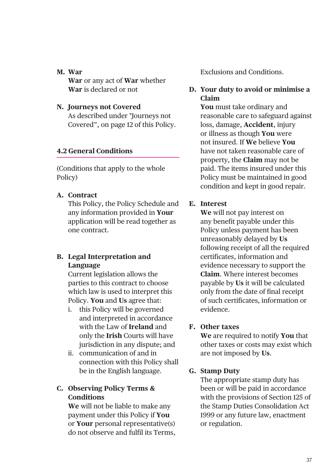### **M. War**

**War** or any act of **War** whether **War** is declared or not

## **N. Journeys not Covered**

As described under "Journeys not Covered", on page 12 of this Policy.

## **4.2 General Conditions**

(Conditions that apply to the whole Policy)

## **A. Contract**

This Policy, the Policy Schedule and any information provided in **Your** application will be read together as one contract.

## **B. Legal Interpretation and Language**

Current legislation allows the parties to this contract to choose which law is used to interpret this Policy. **You** and **Us** agree that:

- i. this Policy will be governed and interpreted in accordance with the Law of **Ireland** and only the **Irish** Courts will have jurisdiction in any dispute; and
- ii. communication of and in connection with this Policy shall be in the English language.

## **C. Observing Policy Terms & Conditions**

**We** will not be liable to make any payment under this Policy if **You** or **Your** personal representative(s) do not observe and fulfil its Terms, Exclusions and Conditions.

## **D. Your duty to avoid or minimise a Claim**

**You** must take ordinary and reasonable care to safeguard against loss, damage, **Accident**, injury or illness as though **You** were not insured. If **We** believe **You** have not taken reasonable care of property, the **Claim** may not be paid. The items insured under this Policy must be maintained in good condition and kept in good repair.

## **E. Interest**

**We** will not pay interest on any benefit payable under this Policy unless payment has been unreasonably delayed by **Us** following receipt of all the required certificates, information and evidence necessary to support the **Claim**. Where interest becomes payable by **Us** it will be calculated only from the date of final receipt of such certificates, information or evidence.

## **F. Other taxes**

**We** are required to notify **You** that other taxes or costs may exist which are not imposed by **Us**.

## **G. Stamp Duty**

The appropriate stamp duty has been or will be paid in accordance with the provisions of Section 125 of the Stamp Duties Consolidation Act 1999 or any future law, enactment or regulation.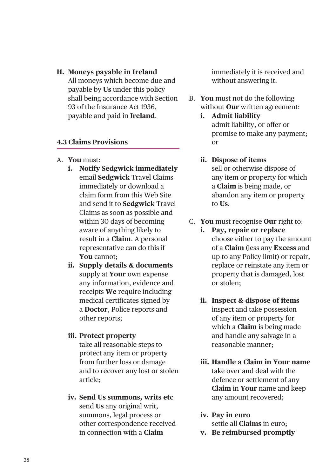**H. Moneys payable in Ireland** All moneys which become due and payable by **Us** under this policy shall being accordance with Section 93 of the Insurance Act 1936, payable and paid in **Ireland**.

## **4.3 Claims Provisions**

- A. **You** must:
	- **i. Notify Sedgwick immediately** email **Sedgwick** Travel Claims immediately or download a claim form from this Web Site and send it to **Sedgwick** Travel Claims as soon as possible and within 30 days of becoming aware of anything likely to result in a **Claim**. A personal representative can do this if **You** cannot;
	- **ii. Supply details & documents** supply at **Your** own expense any information, evidence and receipts **We** require including medical certificates signed by a **Doctor**, Police reports and other reports;

## **iii. Protect property**

take all reasonable steps to protect any item or property from further loss or damage and to recover any lost or stolen article;

**iv. Send Us summons, writs etc** send **Us** any original writ, summons, legal process or other correspondence received in connection with a **Claim**

immediately it is received and without answering it.

- B. **You** must not do the following without **Our** written agreement:
	- **i. Admit liability** admit liability, or offer or promise to make any payment; or

## **ii. Dispose of items**

sell or otherwise dispose of any item or property for which a **Claim** is being made, or abandon any item or property to **Us**.

- C. **You** must recognise **Our** right to:
	- **i. Pay, repair or replace** choose either to pay the amount of a **Claim** (less any **Excess** and up to any Policy limit) or repair, replace or reinstate any item or property that is damaged, lost or stolen;
	- **ii. Inspect & dispose of items** inspect and take possession of any item or property for which a **Claim** is being made and handle any salvage in a reasonable manner;
	- **iii. Handle a Claim in Your name** take over and deal with the defence or settlement of any **Claim** in **Your** name and keep any amount recovered;
	- **iv. Pay in euro** settle all **Claims** in euro;
	- **v. Be reimbursed promptly**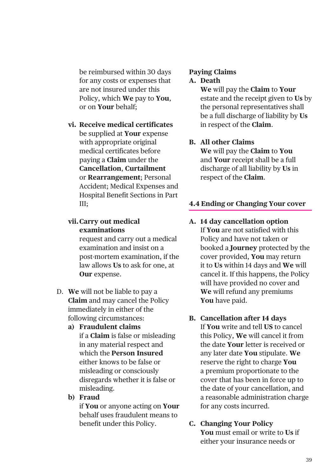be reimbursed within 30 days for any costs or expenses that are not insured under this Policy, which **We** pay to **You**, or on **Your** behalf;

**vi. Receive medical certificates** be supplied at **Your** expense with appropriate original medical certificates before paying a **Claim** under the **Cancellation**, **Curtailment** or **Rearrangement**; Personal Accident; Medical Expenses and Hospital Benefit Sections in Part III;

## **vii.Carry out medical examinations**

request and carry out a medical examination and insist on a post-mortem examination, if the law allows **Us** to ask for one, at **Our** expense.

- D. **We** will not be liable to pay a **Claim** and may cancel the Policy immediately in either of the following circumstances:
	- **a) Fraudulent claims**
		- if a **Claim** is false or misleading in any material respect and which the **Person Insured** either knows to be false or misleading or consciously disregards whether it is false or misleading.
	- **b) Fraud**

 if **You** or anyone acting on **Your** behalf uses fraudulent means to benefit under this Policy.

## **Paying Claims**

#### **A. Death**

**We** will pay the **Claim** to **Your** estate and the receipt given to **Us** by the personal representatives shall be a full discharge of liability by **Us** in respect of the **Claim**.

## **B. All other Claims**

**We** will pay the **Claim** to **You** and **Your** receipt shall be a full discharge of all liability by **Us** in respect of the **Claim**.

## **4.4 Ending or Changing Your cover**

- **A. 14 day cancellation option** If **You** are not satisfied with this Policy and have not taken or booked a **Journey** protected by the cover provided, **You** may return it to **Us** within 14 days and **We** will cancel it. If this happens, the Policy will have provided no cover and **We** will refund any premiums **You** have paid.
- **B. Cancellation after 14 days** If **You** write and tell **US** to cancel this Policy, **We** will cancel it from the date **Your** letter is received or any later date **You** stipulate. **We** reserve the right to charge **You** a premium proportionate to the cover that has been in force up to the date of your cancellation, and a reasonable administration charge for any costs incurred.

#### **C. Changing Your Policy You** must email or write to **Us** if either your insurance needs or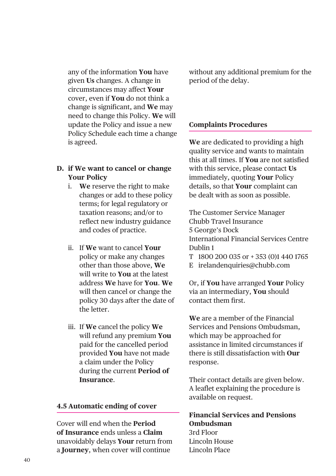any of the information **You** have given **Us** changes. A change in circumstances may affect **Your** cover, even if **You** do not think a change is significant, and **We** may need to change this Policy. **We** will update the Policy and issue a new Policy Schedule each time a change is agreed.

## **D. if We want to cancel or change Your Policy**

- i. **We** reserve the right to make changes or add to these policy terms; for legal regulatory or taxation reasons; and/or to reflect new industry guidance and codes of practice.
- ii. If **We** want to cancel **Your** policy or make any changes other than those above, **We** will write to **You** at the latest address **We** have for **You**. **We** will then cancel or change the policy 30 days after the date of the letter.
- iii. If **We** cancel the policy **We** will refund any premium **You** paid for the cancelled period provided **You** have not made a claim under the Policy during the current **Period of Insurance**.

## **4.5 Automatic ending of cover**

Cover will end when the **Period of Insurance** ends unless a **Claim** unavoidably delays **Your** return from a **Journey**, when cover will continue

without any additional premium for the period of the delay.

## **Complaints Procedures**

**We** are dedicated to providing a high quality service and wants to maintain this at all times. If **You** are not satisfied with this service, please contact **Us** immediately, quoting **Your** Policy details, so that **Your** complaint can be dealt with as soon as possible.

The Customer Service Manager Chubb Travel Insurance 5 George's Dock International Financial Services Centre Dublin 1

- T 1800 200 035 or + 353 (0)1 440 1765
- E irelandenquiries@chubb.com

Or, if **You** have arranged **Your** Policy via an intermediary, **You** should contact them first.

**We** are a member of the Financial Services and Pensions Ombudsman, which may be approached for assistance in limited circumstances if there is still dissatisfaction with **Our** response.

Their contact details are given below. A leaflet explaining the procedure is available on request.

**Financial Services and Pensions Ombudsman** 3rd Floor Lincoln House Lincoln Place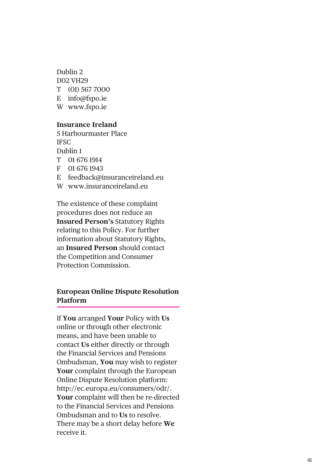Dublin 2 D02 VH29 T (01) 567 7000 E info@fspo.ie W www.fspo.ie

#### **Insurance Ireland**

5 Harbourmaster Place IFSC Dublin 1 T 01 676 1914 F 01 676 1943 E feedback@insuranceireland.eu W www.insuranceireland.eu

The existence of these complaint procedures does not reduce an **Insured Person's** Statutory Rights relating to this Policy. For further information about Statutory Rights, an **Insured Person** should contact the Competition and Consumer Protection Commission.

## **European Online Dispute Resolution Platform**

If **You** arranged **Your** Policy with **Us** online or through other electronic means, and have been unable to contact **Us** either directly or through the Financial Services and Pensions Ombudsman, **You** may wish to register **Your** complaint through the European Online Dispute Resolution platform: http://ec.europa.eu/consumers/odr/. **Your** complaint will then be re-directed to the Financial Services and Pensions Ombudsman and to **Us** to resolve. There may be a short delay before **We** receive it.